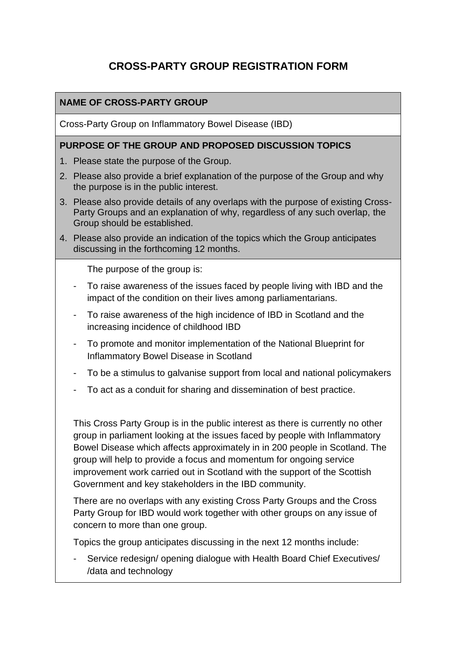# **CROSS-PARTY GROUP REGISTRATION FORM**

### **NAME OF CROSS-PARTY GROUP**

Cross-Party Group on Inflammatory Bowel Disease (IBD)

#### **PURPOSE OF THE GROUP AND PROPOSED DISCUSSION TOPICS**

- 1. Please state the purpose of the Group.
- 2. Please also provide a brief explanation of the purpose of the Group and why the purpose is in the public interest.
- 3. Please also provide details of any overlaps with the purpose of existing Cross-Party Groups and an explanation of why, regardless of any such overlap, the Group should be established.
- 4. Please also provide an indication of the topics which the Group anticipates discussing in the forthcoming 12 months.

The purpose of the group is:

- To raise awareness of the issues faced by people living with IBD and the impact of the condition on their lives among parliamentarians.
- To raise awareness of the high incidence of IBD in Scotland and the increasing incidence of childhood IBD
- To promote and monitor implementation of the National Blueprint for Inflammatory Bowel Disease in Scotland
- To be a stimulus to galvanise support from local and national policymakers
- To act as a conduit for sharing and dissemination of best practice.

This Cross Party Group is in the public interest as there is currently no other group in parliament looking at the issues faced by people with Inflammatory Bowel Disease which affects approximately in in 200 people in Scotland. The group will help to provide a focus and momentum for ongoing service improvement work carried out in Scotland with the support of the Scottish Government and key stakeholders in the IBD community.

There are no overlaps with any existing Cross Party Groups and the Cross Party Group for IBD would work together with other groups on any issue of concern to more than one group.

Topics the group anticipates discussing in the next 12 months include:

Service redesign/ opening dialogue with Health Board Chief Executives/ /data and technology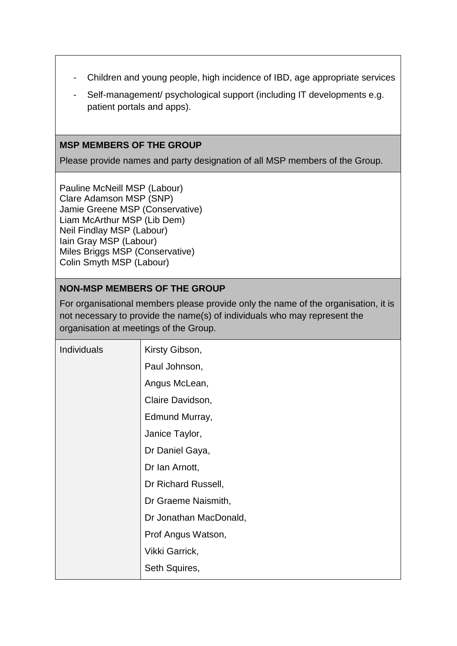- Children and young people, high incidence of IBD, age appropriate services
- Self-management/ psychological support (including IT developments e.g. patient portals and apps).

#### **MSP MEMBERS OF THE GROUP**

Please provide names and party designation of all MSP members of the Group.

Pauline McNeill MSP (Labour) Clare Adamson MSP (SNP) Jamie Greene MSP (Conservative) Liam McArthur MSP (Lib Dem) Neil Findlay MSP (Labour) Iain Gray MSP (Labour) Miles Briggs MSP (Conservative) Colin Smyth MSP (Labour)

## **NON-MSP MEMBERS OF THE GROUP**

For organisational members please provide only the name of the organisation, it is not necessary to provide the name(s) of individuals who may represent the organisation at meetings of the Group.

| Individuals | Kirsty Gibson,         |
|-------------|------------------------|
|             | Paul Johnson,          |
|             | Angus McLean,          |
|             | Claire Davidson,       |
|             | Edmund Murray,         |
|             | Janice Taylor,         |
|             | Dr Daniel Gaya,        |
|             | Dr Ian Arnott,         |
|             | Dr Richard Russell,    |
|             | Dr Graeme Naismith,    |
|             | Dr Jonathan MacDonald, |
|             | Prof Angus Watson,     |
|             | Vikki Garrick,         |
|             | Seth Squires,          |
|             |                        |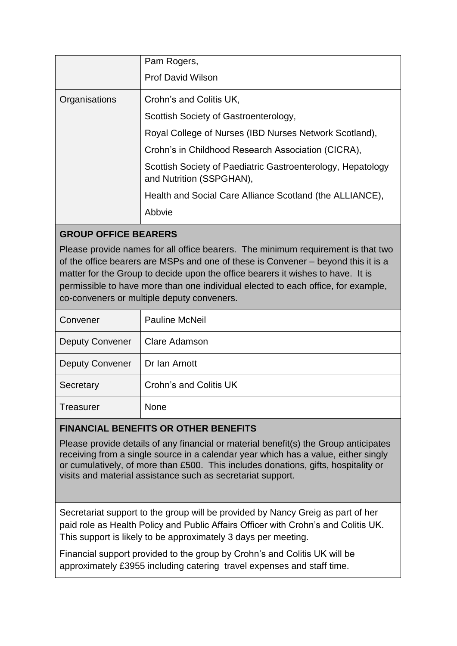|               | Pam Rogers,                                                                             |
|---------------|-----------------------------------------------------------------------------------------|
|               | <b>Prof David Wilson</b>                                                                |
| Organisations | Crohn's and Colitis UK,                                                                 |
|               | Scottish Society of Gastroenterology,                                                   |
|               | Royal College of Nurses (IBD Nurses Network Scotland),                                  |
|               | Crohn's in Childhood Research Association (CICRA),                                      |
|               | Scottish Society of Paediatric Gastroenterology, Hepatology<br>and Nutrition (SSPGHAN), |
|               | Health and Social Care Alliance Scotland (the ALLIANCE),                                |
|               | Abbvie                                                                                  |

# **GROUP OFFICE BEARERS**

Please provide names for all office bearers. The minimum requirement is that two of the office bearers are MSPs and one of these is Convener – beyond this it is a matter for the Group to decide upon the office bearers it wishes to have. It is permissible to have more than one individual elected to each office, for example, co-conveners or multiple deputy conveners.

| Convener               | <b>Pauline McNeil</b>  |
|------------------------|------------------------|
| <b>Deputy Convener</b> | <b>Clare Adamson</b>   |
| <b>Deputy Convener</b> | Dr Ian Arnott          |
| Secretary              | Crohn's and Colitis UK |
| <b>Treasurer</b>       | None                   |

## **FINANCIAL BENEFITS OR OTHER BENEFITS**

Please provide details of any financial or material benefit(s) the Group anticipates receiving from a single source in a calendar year which has a value, either singly or cumulatively, of more than £500. This includes donations, gifts, hospitality or visits and material assistance such as secretariat support.

Secretariat support to the group will be provided by Nancy Greig as part of her paid role as Health Policy and Public Affairs Officer with Crohn's and Colitis UK. This support is likely to be approximately 3 days per meeting.

Financial support provided to the group by Crohn's and Colitis UK will be approximately £3955 including catering travel expenses and staff time.